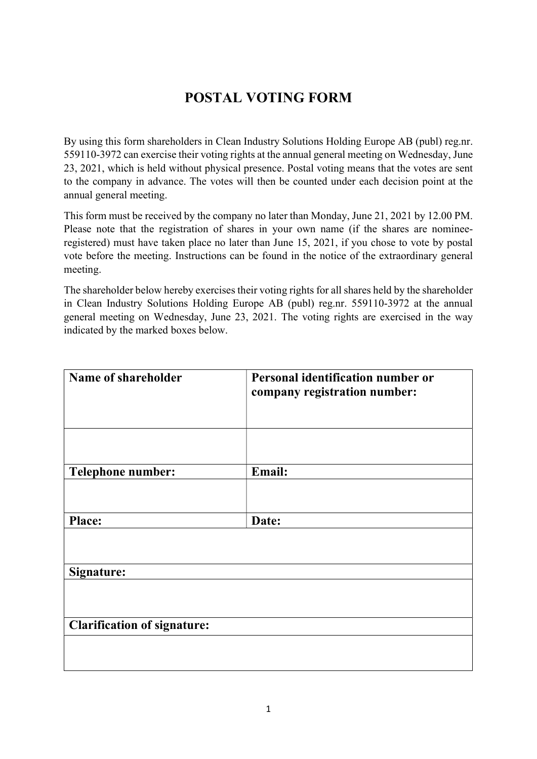## POSTAL VOTING FORM

By using this form shareholders in Clean Industry Solutions Holding Europe AB (publ) reg.nr. 559110-3972 can exercise their voting rights at the annual general meeting on Wednesday, June 23, 2021, which is held without physical presence. Postal voting means that the votes are sent to the company in advance. The votes will then be counted under each decision point at the annual general meeting.

This form must be received by the company no later than Monday, June 21, 2021 by 12.00 PM. Please note that the registration of shares in your own name (if the shares are nomineeregistered) must have taken place no later than June 15, 2021, if you chose to vote by postal vote before the meeting. Instructions can be found in the notice of the extraordinary general meeting.

The shareholder below hereby exercises their voting rights for all shares held by the shareholder in Clean Industry Solutions Holding Europe AB (publ) reg.nr. 559110-3972 at the annual general meeting on Wednesday, June 23, 2021. The voting rights are exercised in the way indicated by the marked boxes below.

| Name of shareholder                | Personal identification number or |  |
|------------------------------------|-----------------------------------|--|
|                                    | company registration number:      |  |
|                                    |                                   |  |
|                                    |                                   |  |
|                                    |                                   |  |
| <b>Telephone number:</b>           | Email:                            |  |
|                                    |                                   |  |
| <b>Place:</b>                      | Date:                             |  |
|                                    |                                   |  |
|                                    |                                   |  |
| Signature:                         |                                   |  |
|                                    |                                   |  |
|                                    |                                   |  |
| <b>Clarification of signature:</b> |                                   |  |
|                                    |                                   |  |
|                                    |                                   |  |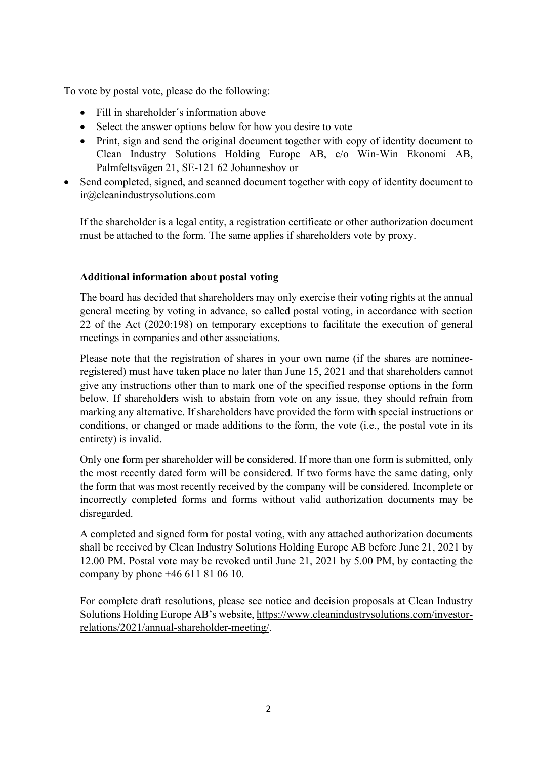To vote by postal vote, please do the following:

- Fill in shareholder´s information above
- Select the answer options below for how you desire to vote
- Print, sign and send the original document together with copy of identity document to Clean Industry Solutions Holding Europe AB, c/o Win-Win Ekonomi AB, Palmfeltsvägen 21, SE-121 62 Johanneshov or
- Send completed, signed, and scanned document together with copy of identity document to ir@cleanindustrysolutions.com

If the shareholder is a legal entity, a registration certificate or other authorization document must be attached to the form. The same applies if shareholders vote by proxy.

## Additional information about postal voting

The board has decided that shareholders may only exercise their voting rights at the annual general meeting by voting in advance, so called postal voting, in accordance with section 22 of the Act (2020:198) on temporary exceptions to facilitate the execution of general meetings in companies and other associations.

Please note that the registration of shares in your own name (if the shares are nomineeregistered) must have taken place no later than June 15, 2021 and that shareholders cannot give any instructions other than to mark one of the specified response options in the form below. If shareholders wish to abstain from vote on any issue, they should refrain from marking any alternative. If shareholders have provided the form with special instructions or conditions, or changed or made additions to the form, the vote (i.e., the postal vote in its entirety) is invalid.

Only one form per shareholder will be considered. If more than one form is submitted, only the most recently dated form will be considered. If two forms have the same dating, only the form that was most recently received by the company will be considered. Incomplete or incorrectly completed forms and forms without valid authorization documents may be disregarded.

A completed and signed form for postal voting, with any attached authorization documents shall be received by Clean Industry Solutions Holding Europe AB before June 21, 2021 by 12.00 PM. Postal vote may be revoked until June 21, 2021 by 5.00 PM, by contacting the company by phone +46 611 81 06 10.

For complete draft resolutions, please see notice and decision proposals at Clean Industry Solutions Holding Europe AB's website, https://www.cleanindustrysolutions.com/investorrelations/2021/annual-shareholder-meeting/.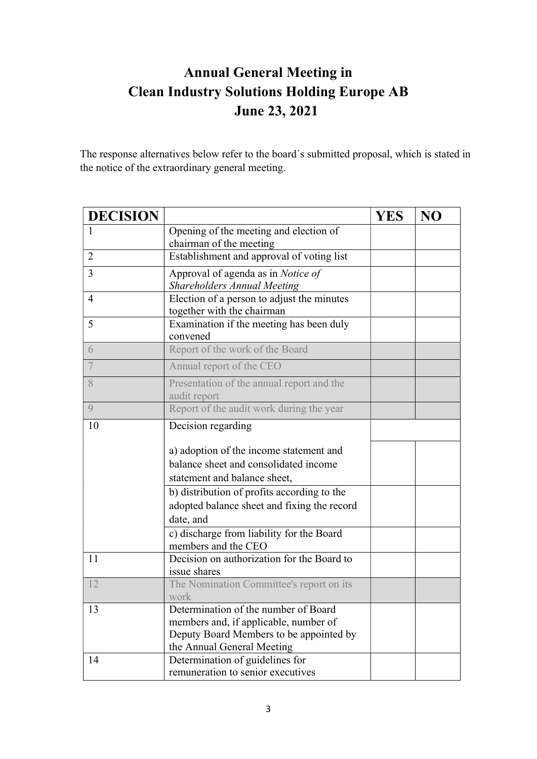## Annual General Meeting in Clean Industry Solutions Holding Europe AB June 23, 2021

The response alternatives below refer to the board´s submitted proposal, which is stated in the notice of the extraordinary general meeting.

| <b>DECISION</b> |                                                                                  | <b>YES</b> | NO |
|-----------------|----------------------------------------------------------------------------------|------------|----|
| 1               | Opening of the meeting and election of                                           |            |    |
|                 | chairman of the meeting                                                          |            |    |
| $\overline{2}$  | Establishment and approval of voting list                                        |            |    |
| 3               | Approval of agenda as in Notice of                                               |            |    |
|                 | <b>Shareholders Annual Meeting</b>                                               |            |    |
| $\overline{4}$  | Election of a person to adjust the minutes                                       |            |    |
|                 | together with the chairman                                                       |            |    |
| 5               | Examination if the meeting has been duly                                         |            |    |
|                 | convened                                                                         |            |    |
| 6               | Report of the work of the Board                                                  |            |    |
| $\overline{7}$  | Annual report of the CEO                                                         |            |    |
| 8               | Presentation of the annual report and the                                        |            |    |
|                 | audit report                                                                     |            |    |
| $\overline{Q}$  | Report of the audit work during the year                                         |            |    |
| 10              | Decision regarding                                                               |            |    |
|                 |                                                                                  |            |    |
|                 | a) adoption of the income statement and                                          |            |    |
|                 | balance sheet and consolidated income                                            |            |    |
|                 | statement and balance sheet,                                                     |            |    |
|                 | b) distribution of profits according to the                                      |            |    |
|                 | adopted balance sheet and fixing the record                                      |            |    |
|                 | date, and                                                                        |            |    |
|                 | c) discharge from liability for the Board                                        |            |    |
|                 | members and the CEO                                                              |            |    |
| 11              | Decision on authorization for the Board to                                       |            |    |
|                 | issue shares                                                                     |            |    |
| 12              | The Nomination Committee's report on its                                         |            |    |
|                 | work<br>Determination of the number of Board                                     |            |    |
| 13              |                                                                                  |            |    |
|                 | members and, if applicable, number of<br>Deputy Board Members to be appointed by |            |    |
|                 | the Annual General Meeting                                                       |            |    |
| 14              | Determination of guidelines for                                                  |            |    |
|                 | remuneration to senior executives                                                |            |    |